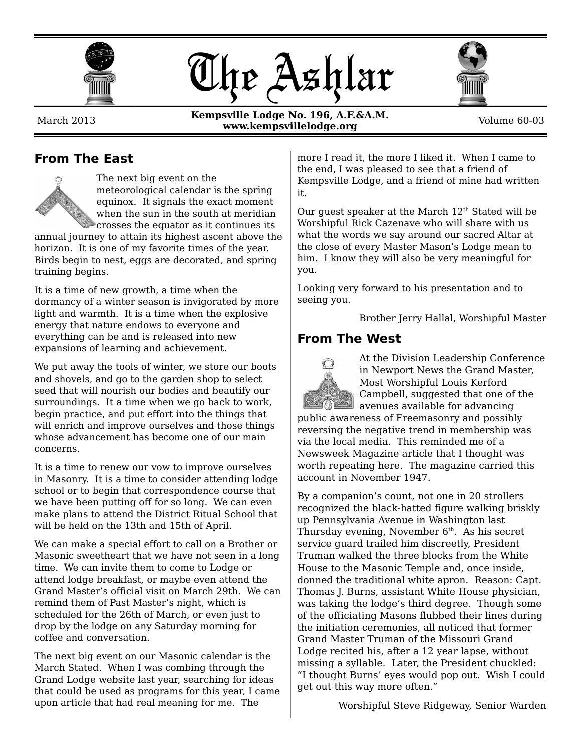





March 2013

**Kempsville Lodge No. 196, A.F.&A.M. www.kempsvillelodge.org** Volume 60-03

#### **From The East**



The next big event on the meteorological calendar is the spring equinox. It signals the exact moment when the sun in the south at meridian crosses the equator as it continues its

annual journey to attain its highest ascent above the horizon. It is one of my favorite times of the year. Birds begin to nest, eggs are decorated, and spring training begins.

It is a time of new growth, a time when the dormancy of a winter season is invigorated by more light and warmth. It is a time when the explosive energy that nature endows to everyone and everything can be and is released into new expansions of learning and achievement.

We put away the tools of winter, we store our boots and shovels, and go to the garden shop to select seed that will nourish our bodies and beautify our surroundings. It a time when we go back to work, begin practice, and put effort into the things that will enrich and improve ourselves and those things whose advancement has become one of our main concerns.

It is a time to renew our vow to improve ourselves in Masonry. It is a time to consider attending lodge school or to begin that correspondence course that we have been putting off for so long. We can even make plans to attend the District Ritual School that will be held on the 13th and 15th of April.

We can make a special effort to call on a Brother or Masonic sweetheart that we have not seen in a long time. We can invite them to come to Lodge or attend lodge breakfast, or maybe even attend the Grand Master's official visit on March 29th. We can remind them of Past Master's night, which is scheduled for the 26th of March, or even just to drop by the lodge on any Saturday morning for coffee and conversation.

The next big event on our Masonic calendar is the March Stated. When I was combing through the Grand Lodge website last year, searching for ideas that could be used as programs for this year, I came upon article that had real meaning for me. The

more I read it, the more I liked it. When I came to the end, I was pleased to see that a friend of Kempsville Lodge, and a friend of mine had written it.

Our quest speaker at the March  $12^{\text{th}}$  Stated will be Worshipful Rick Cazenave who will share with us what the words we say around our sacred Altar at the close of every Master Mason's Lodge mean to him. I know they will also be very meaningful for you.

Looking very forward to his presentation and to seeing you.

Brother Jerry Hallal, Worshipful Master

#### **From The West**



At the Division Leadership Conference in Newport News the Grand Master, Most Worshipful Louis Kerford Campbell, suggested that one of the avenues available for advancing

public awareness of Freemasonry and possibly reversing the negative trend in membership was via the local media. This reminded me of a Newsweek Magazine article that I thought was worth repeating here. The magazine carried this account in November 1947.

By a companion's count, not one in 20 strollers recognized the black-hatted figure walking briskly up Pennsylvania Avenue in Washington last Thursday evening, November  $6<sup>th</sup>$ . As his secret service guard trailed him discreetly, President Truman walked the three blocks from the White House to the Masonic Temple and, once inside, donned the traditional white apron. Reason: Capt. Thomas J. Burns, assistant White House physician, was taking the lodge's third degree. Though some of the officiating Masons flubbed their lines during the initiation ceremonies, all noticed that former Grand Master Truman of the Missouri Grand Lodge recited his, after a 12 year lapse, without missing a syllable. Later, the President chuckled: "I thought Burns' eyes would pop out. Wish I could get out this way more often."

Worshipful Steve Ridgeway, Senior Warden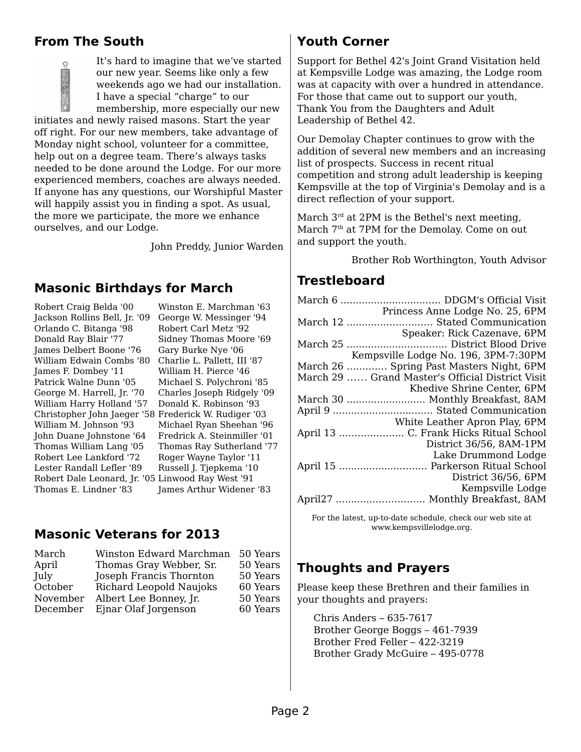## **From The South**

It's hard to imagine that we've started our new year. Seems like only a few weekends ago we had our installation. I have a special "charge" to our membership, more especially our new initiates and newly raised masons. Start the year off right. For our new members, take advantage of Monday night school, volunteer for a committee, help out on a degree team. There's always tasks needed to be done around the Lodge. For our more experienced members, coaches are always needed. If anyone has any questions, our Worshipful Master will happily assist you in finding a spot. As usual, the more we participate, the more we enhance ourselves, and our Lodge.

John Preddy, Junior Warden

#### **Masonic Birthdays for March**

Robert Craig Belda '00 Jackson Rollins Bell, Jr. '09 Orlando C. Bitanga '98 Donald Ray Blair '77 James Delbert Boone '76 William Edwain Combs '80 Charlie L. Pallett, III '87 James F. Dombey '11 Patrick Walne Dunn '05 George M. Harrell, Jr. '70 William Harry Holland '57 Christopher John Jaeger '58 Frederick W. Rudiger '03 William M. Johnson '93 John Duane Johnstone '64 Thomas William Lang '05 Robert Lee Lankford '72 Lester Randall Lefler '89 Robert Dale Leonard, Jr. '05 Linwood Ray West '91 Thomas E. Lindner '83

Winston E. Marchman '63 George W. Messinger '94 Robert Carl Metz '92 Sidney Thomas Moore '69 Gary Burke Nye '06 William H. Pierce '46 Michael S. Polychroni '85 Charles Joseph Ridgely '09 Donald K. Robinson '93 Michael Ryan Sheehan '96 Fredrick A. Steinmiller '01 Thomas Ray Sutherland '77 Roger Wayne Taylor '11 Russell J. Tjepkema '10 James Arthur Widener '83

#### **Masonic Veterans for 2013**

| March    | Winston Edward Marchman | 50 Years |
|----------|-------------------------|----------|
| April    | Thomas Gray Webber, Sr. | 50 Years |
| July     | Joseph Francis Thornton | 50 Years |
| October  | Richard Leopold Naujoks | 60 Years |
| November | Albert Lee Bonney, Jr.  | 50 Years |
| December | Ejnar Olaf Jorgenson    | 60 Years |

#### **Youth Corner**

Support for Bethel 42's Joint Grand Visitation held at Kempsville Lodge was amazing, the Lodge room was at capacity with over a hundred in attendance. For those that came out to support our youth, Thank You from the Daughters and Adult Leadership of Bethel 42.

Our Demolay Chapter continues to grow with the addition of several new members and an increasing list of prospects. Success in recent ritual competition and strong adult leadership is keeping Kempsville at the top of Virginia's Demolay and is a direct reflection of your support.

March  $3<sup>rd</sup>$  at 2PM is the Bethel's next meeting, March 7<sup>th</sup> at 7PM for the Demolay. Come on out and support the youth.

Brother Rob Worthington, Youth Advisor

#### **Trestleboard**

| Princess Anne Lodge No. 25, 6PM                            |  |  |  |
|------------------------------------------------------------|--|--|--|
| March 12  Stated Communication                             |  |  |  |
| Speaker: Rick Cazenave, 6PM                                |  |  |  |
|                                                            |  |  |  |
| Kempsville Lodge No. 196, 3PM-7:30PM                       |  |  |  |
| March 26  Spring Past Masters Night, 6PM                   |  |  |  |
| March 29  Grand Master's Official District Visit           |  |  |  |
| Khedive Shrine Center, 6PM                                 |  |  |  |
| March 30  Monthly Breakfast, 8AM                           |  |  |  |
| April 9  Stated Communication                              |  |  |  |
| White Leather Apron Play, 6PM                              |  |  |  |
| April 13  C. Frank Hicks Ritual School                     |  |  |  |
| District 36/56, 8AM-1PM                                    |  |  |  |
| Lake Drummond Lodge                                        |  |  |  |
| April 15  Parkerson Ritual School                          |  |  |  |
| District 36/56, 6PM                                        |  |  |  |
| Kempsville Lodge                                           |  |  |  |
| April27  Monthly Breakfast, 8AM                            |  |  |  |
| For the latest, up-to-date schedule, check our web site at |  |  |  |

www.kempsvillelodge.org.

## **Thoughts and Prayers**

Please keep these Brethren and their families in your thoughts and prayers:

Chris Anders – 635-7617 Brother George Boggs – 461-7939 Brother Fred Feller – 422-3219 Brother Grady McGuire – 495-0778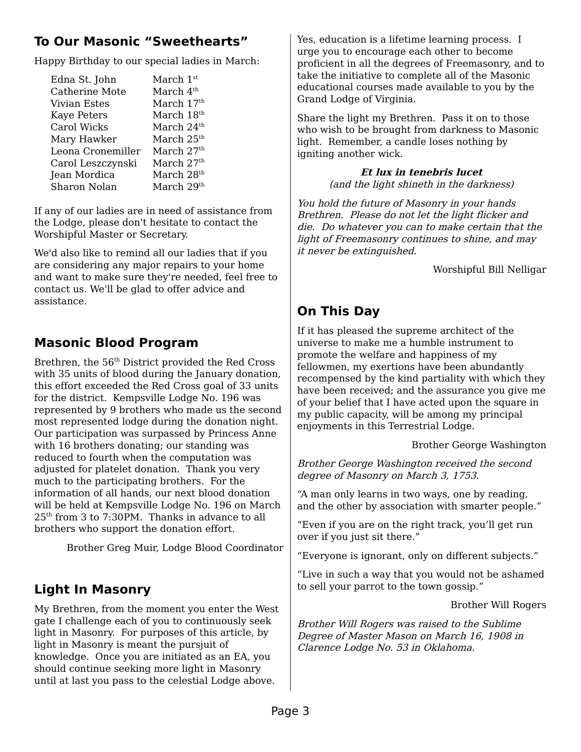## **To Our Masonic "Sweethearts"**

Happy Birthday to our special ladies in March:

| Edna St. John         | March 1st              |
|-----------------------|------------------------|
| <b>Catherine Mote</b> | March 4 <sup>th</sup>  |
| <b>Vivian Estes</b>   | March 17th             |
| <b>Kaye Peters</b>    | March 18 <sup>th</sup> |
| Carol Wicks           | March 24 <sup>th</sup> |
| Mary Hawker           | March $25th$           |
| Leona Cronemiller     | March $27th$           |
| Carol Leszczynski     | March 27 <sup>th</sup> |
| Jean Mordica          | March 28 <sup>th</sup> |
| Sharon Nolan          | March 29 <sup>th</sup> |

If any of our ladies are in need of assistance from the Lodge, please don't hesitate to contact the Worshipful Master or Secretary.

We'd also like to remind all our ladies that if you are considering any major repairs to your home and want to make sure they're needed, feel free to contact us. We'll be glad to offer advice and assistance.

## **Masonic Blood Program**

Brethren, the 56<sup>th</sup> District provided the Red Cross with 35 units of blood during the January donation, this effort exceeded the Red Cross goal of 33 units for the district. Kempsville Lodge No. 196 was represented by 9 brothers who made us the second most represented lodge during the donation night. Our participation was surpassed by Princess Anne with 16 brothers donating; our standing was reduced to fourth when the computation was adjusted for platelet donation. Thank you very much to the participating brothers. For the information of all hands, our next blood donation will be held at Kempsville Lodge No. 196 on March 25th from 3 to 7:30PM. Thanks in advance to all brothers who support the donation effort.

Brother Greg Muir, Lodge Blood Coordinator

## **Light In Masonry**

My Brethren, from the moment you enter the West gate I challenge each of you to continuously seek light in Masonry. For purposes of this article, by light in Masonry is meant the pursjuit of knowledge. Once you are initiated as an EA, you should continue seeking more light in Masonry until at last you pass to the celestial Lodge above.

Yes, education is a lifetime learning process. I urge you to encourage each other to become proficient in all the degrees of Freemasonry, and to take the initiative to complete all of the Masonic educational courses made available to you by the Grand Lodge of Virginia.

Share the light my Brethren. Pass it on to those who wish to be brought from darkness to Masonic light. Remember, a candle loses nothing by igniting another wick.

> **Et lux in tenebris lucet** (and the light shineth in the darkness)

You hold the future of Masonry in your hands Brethren. Please do not let the light flicker and die. Do whatever you can to make certain that the light of Freemasonry continues to shine, and may it never be extinguished.

Worshipful Bill Nelligar

# **On This Day**

If it has pleased the supreme architect of the universe to make me a humble instrument to promote the welfare and happiness of my fellowmen, my exertions have been abundantly recompensed by the kind partiality with which they have been received; and the assurance you give me of your belief that I have acted upon the square in my public capacity, will be among my principal enjoyments in this Terrestrial Lodge.

Brother George Washington

Brother George Washington received the second degree of Masonry on March 3, 1753.

"A man only learns in two ways, one by reading, and the other by association with smarter people."

"Even if you are on the right track, you'll get run over if you just sit there."

"Everyone is ignorant, only on different subjects."

"Live in such a way that you would not be ashamed to sell your parrot to the town gossip."

Brother Will Rogers

Brother Will Rogers was raised to the Sublime Degree of Master Mason on March 16, 1908 in Clarence Lodge No. 53 in Oklahoma.